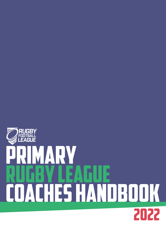### **FOO1** E  $\overline{\mathbb{H}^{\mathbb{N}}}$ **LEAGUE** IFW I I Þ I  $\pmb{\Lambda}$ I Ì Ì. Ä ANDBOOK TH. 2022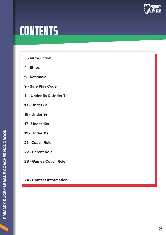

### CONTENTS

- **3** Introduction
- **4 Ethos**
- **6 Rationale**
- **9 Safe Play Code**
- **11 Under 6s & Under 7s**
- **13 Under 8s**
- **15 Under 9s**
- **17 Under 10s**
- **19 Under 11s**
- **21 Coach Role**
- **22 Parent Role**
- **23 Games Coach Role**

#### **24 - Contact Information**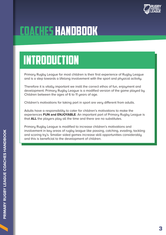

### COACHES HANDBOOK

### IN I RUDUL <mark>I IUN</mark> INTRODUCTION

Primary Rugby League for most children is their first experience of Rugby League and is a step towards a lifelong involvement with the sport and phusical activity.

Therefore it is vitally important we instil the correct ethos of fun, enjoyment and development. Primary Rugby League is a modified version of the game played by Children between the ages of 6 to 11 years of age.

Children's motivations for taking part in sport are very different from adults.

Adults have a responsibility to cater for children's motivations to make the experiences **FUN and ENJOYABLE**. An important part of Primary Rugby League is that **ALL** the players play all the time and there are no substitutes.

Primary Rugby League is modified to increase children's motivations and involvement in key areas of rugby league like passing, catching, evading, tackling and scoring try's. Smaller sided games increase skill opportunities considerably and this is beneficial to the development of children.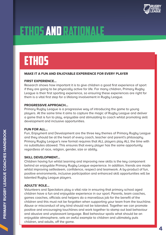

### **ETHOS**

#### **MAKE IT A FUN AND ENJOYABLE EXPERIENCE FOR EVERY PLAYER**

#### **FIRST EXPERIENCE…**

Research shows how important it is to give children a good first experience of sport if they are going to be physically active for life. For many children, Primary Rugby League is their first sporting experience, so ensuring these experiences are right for them is a vital first step for a lifelong involvement in Rugby League.

#### **PROGRESSIVE APPROACH…**

Primary Rugby League is a progressive way of introducing the game to young players. At the same time it aims to capture the magic of Rugby League and deliver a game that is fun to play, enjoyable and stimulating to coach whilst promoting skill development and inclusive opportunities.

#### **FUN FOR ALL…**

Fun, Enjoyment and Development are the three key themes of Primary Rugby League and they should be at the heart of every coach, teacher and parent's philosophy. Primary Rugby League's new format requires that ALL players play ALL the time with no substitutes allowed. This ensures that every player has the same opportunity regardless of race, religion, gender, size or ability.

#### **SKILL DEVELOPMENT…**

Children having fun whilst learning and improving new skills is the key component behind an enjoyable Primary Rugby League experience. In addition, friends are made whilst improving selfesteem, confidence, respect and teamwork. A by-product of fun, positive environments, inclusive participation and enhanced skill opportunities will be talented Rugby League players.

#### **ADULTS' ROLE…**

Volunteers and Spectators play a vital role in ensuring that primary school aged children have a fun and enjoyable experience in our sport. Parents, team coaches, games coaches, officials and helpers do a marvellous job for the benefit of the children and this must not be forgotten when supporting your team from the touchline. Abuse or misconduct of any kind should not be tolerated. Together we can promote positive and encouraging touchlines and work together to stamp out bad behaviour and abusive and unpleasant language. Bad behaviour spoils what should be an enjoyable atmosphere, sets an awful example to children and ultimately puts children, and adults, off the game.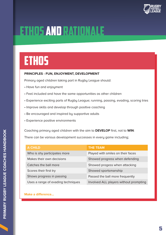

### **ETHOS**

#### **PRINCIPLES - FUN, ENJOYMENT, DEVELOPMENT**

Primary aged children taking part in Rugby League should:

- Have fun and enjoument
- Feel included and have the same opportunities as other children
- Experience exciting parts of Rugby League; running, passing, evading, scoring tries
- Improve skills and develop through positive coaching
- Be encouraged and inspired by supportive adults
- Experience positive environments

Coaching primary aged children with the aim to **DEVELOP** first, not to **WIN**: There can be various development successes in every game including;

| <b>A CHILD</b>                     | <b>THE TEAM</b>                        |
|------------------------------------|----------------------------------------|
| Who is shy participates more       | Played with smiles on their faces      |
| Makes their own decisions          | Showed progress when defending         |
| Catches the ball more              | Showed progess when attacking          |
| Scores their first try             | Showed sportsmanship                   |
| Shows progress in passing          | Passed the ball more frequently        |
| Uses a range of evading techniques | Involved ALL players without prompting |

#### **Make a difference...**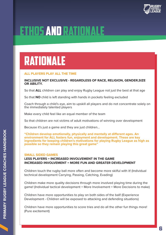

### RATIONALE

#### **ALL PLAYERS PLAY ALL THE TIME**

#### **INCLUSIVE NOT EXCLUSIVE - REGARDLESS OF RACE, RELIGION, GENDER,SIZE OR ABILITY.**

So that **ALL** children can play and enjoy Rugby League not just the best at that age

So that **NO** child is left standing with hands in pockets feeling excluded

Coach through a child's eye, aim to upskill all players and do not concentrate solely on the immediately talented players

Make every child feel like an equal member of the team

So that children are not victims of adult motivations of winning over development

Because it's just a game and they are just children…

**"Children develop emotionally, physically and mentally at different ages. An environment for ALL fosters fun, enjoyment and development. These are key ingredients for keeping children's motivations for playing Rugby League as high as possible so they remain playing this great game"**

#### **SMALL SIDED GAMES**

**LESS PLAYERS = INCREASED INVOLVEMENT IN THE GAME INCREASED INVOLVEMENT = MORE FUN AND GREATER DEVELOPMENT**

Children touch the rugby ball more often and become more skilful with it! (Individual technical development Carrying, Passing, Catching, Evading)

Children make more quality decisions through more involved playing time during the game! (Individual tactical development = More Involvement = More Decisions to make)

Children have more opportunities to play on both sides of the ball! (Experience Development - Children will be exposed to attacking and defending situations)

Children have more opportunities to score tries and do all the other fun things more! (Pure excitement)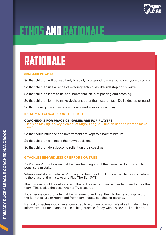

### RATIONALE

#### **SMALLER PITCHES**

So that children will be less likely to solely use speed to run around everyone to score.

So that children use a range of evading techniques like sidestep and swerve.

So that children learn to utilise fundamental skills of passing and catching.

So that children learn to make decisions other than just run fast. Do I sidestep or pass?

So that more games take place at once and everyone can play.

#### **IDEALLY NO COACHES ON THE PITCH**

#### **COACHING IS FOR PRACTICE. GAMES ARE FOR PLAYERS**

"Decision Making is a key element of Rugby League. Children need to learn to make them"

So that adult influence and involvement are kept to a bare minimum.

So that children can make their own decisions.

So that children don't become reliant on their coaches

#### **6 TACKLES REGARDLESS OF ERRORS OR TRIES**

As Primary Rugby League children are learning about the game we do not want to penalise a mistake.

When a mistake is made i.e. Running into touch or knocking on the child would return to the place of the mistake and Play The Ball (PTB).

The mistake would count as one of the tackles rather than be handed over to the other team. This is also the case when a Try is scored.

Together we can promote children's learning and help them to try new things without the fear of failure or reprimand from team mates, coaches or parents.

Naturally coaches would be encouraged to work on common mistakes in training in an informative but fun manner, i.e. catching practice if they witness several knock-ons.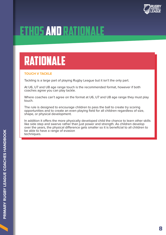

### RATIONALE

#### **TOUCH V TACKLE**

Tackling is a large part of playing Rugby League but it isn't the only part.

At U6, U7 and U8 age range touch is the recommended format, however if both coaches agree you can play tackle.

Where coaches can't agree on the format at U6, U7 and U8 age range they must play touch.

The rule is designed to encourage children to pass the ball to create try scoring opportunities and to create an even playing field for all children regardless of size, shape, or physical development.

In addition it offers the more physically developed child the chance to learn other skills like side step and swerve rather than just power and strength. As children develop over the years, the physical difference gets smaller so it is beneficial to all children to be able to have a range of evasion techniques.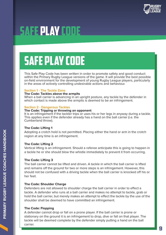

### Safe Play CODE

# safe play code

This Safe Play Code has been written in order to promote safety and good conduct within the Primary Rugby League versions of the game. It will provide the best possible on-field environment for the development of young Rugby League players, particularly in the areas of actively controlling undesirable actions and behaviour.

#### **Section 1 - The Tackle Zone**

#### **The Code: Tackles above the armpits**

When a ball carrier is advancing in an upright posture, any tackle by the defender in which contact is made above the armpits is deemed to be an infringement.

#### **Section 2 - Dangerous Tackles**

#### **The Code: Tripping or throwing an opponent**

It is an infringement if the tackler trips or uses his or her legs in anyway during a tackle. This applies even if the defender already has a hand on the ball carrier (i.e. the Cumberland throw).

#### **The Code: Lifting 1**

Adopting a crotch hold is not permitted. Placing either the hand or arm in the crotch region at any time is an infringement.

#### **The Code: Lifting 2**

Vertical lifting is an infringement. Should a referee anticipate this is going to happen in a tackle he or she should blow the whistle immediately to prevent it from occurring.

#### **The Code: Lifting 3**

The ball carrier cannot be lifted and driven. A tackle in which the ball carrier is lifted and remains off the ground for two or more steps is an infringement. However, this should not be confused with a driving tackle when the ball carrier is knocked off his or her feet.

#### **The Code: Shoulder Charge**

Defenders are not allowed to shoulder charge the ball carrier in order to effect a tackle. A defender who runs at a ball carrier and makes no attempt to tackle, grab or hold the ball carrier, but merely makes an attempt to effect the tackle by the use of the shoulder shall be deemed to have committed an infringement.

#### **The Code: Flopping**

A defender cannot drop or fall on a prone player. If the ball carrier is prone or stationary on the ground it is an infringement to drop, dive or fall on that player. The tackle will be deemed complete by the defender simply putting a hand on the ball carrier.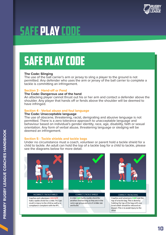

### Safe Play CODE

## safe play code

#### **The Code: Slinging**

The use of the ball carrier's arm or jersey to sling a player to the ground is not permitted. Any defender who uses the arm or jersey of the ball carrier to complete a tackle is committing an infringement.

#### **Section 3 - Hand-off or Fend**

#### **The Code: Dangerous use of the hand**

An attacking player cannot thrust out his or her arm and contact a defender above the shoulder. Any player that hands off or fends above the shoulder will be deemed to have infringed.

#### **Section 4 - Verbal abuse and foul language**

#### **The Code: Unacceptable language**

The use of obscene, threatening, racist, denigrating and abusive language is not permitted. There is a zero tolerance approach to unacceptable language and behaviour based on individual's gender identity, race, age, disability, faith or sexual orientation. Any form of verbal abuse, threatening language or sledging will be deemed an infringement.

#### **Section 5 - Tackle shields and tackle bags**

Under no circumstance must a coach, volunteer or parent hold a tackle shield for a child to tackle. An adult can hold the top of a tackle bag for a child to tackle, please see the diagrams below for more detail.



#### **INCORRECT | TACKLE SHIELD** Coaches and volunteers CAN NOT hold a tackle shield for a child. This can result in injury to the child as well as a compliance complaint with the RFL.



#### **CORRECT | TACKLE SHIELD**

A child CAN hold a tackle shield for another child as long as they are in the same age group and are of similar size and build.



#### **CORRECT | TACKLE BAG**

Coaches and volunteers **CAN** hold the top of a tackle bag. This is done by holding the top of the bag with one hand which should be released on impact. This is to avoid injury to the child.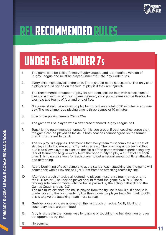

### under 6s & under 7s

- 1. The game is to be called Primary Rugby League and is a modified version of Rugby League and must be played under the Safe Play Code rules.
- 2. Every child must play all of the time. There should be no substitutes. (The only time a player should not be on the field of play is if they are injured).
- 3. The recommended number of players per team shall be four, with a maximum of five and a minimum of three. To ensure every child plays teams can be flexible, for example two teams of four and one of five.
- 4. No player should be allowed to play for more than a total of 30 minutes in any one day. The recommended playing time is three games of 10 minutes.
- 5. Size of the playing area is 25m x 12m.
- 6. The game will be played with a size three standard Rugby League ball.
- 7. Touch is the recommended format for this age group. If both coaches agree then the game can be played as tackle. If both coaches cannot agree on the format then it must revert to touch.
- 8. The six play rule applies. This means that every team must complete a full set of six plays including errors or a Try being scored. The coaching ethos behind this rule is to allow players to execute the skills of the game without experiencing any fear of failure and to give every team the opportunity to play a full set of six each time. This rule also allows for each player to get an equal amount of time attacking and defending.
- 9. At the beginning of each game and at the start of each attacking set, the game will commence with a Play the ball (PTB) 5m from the attacking teams try line.
- 10. After each touch or tackle all defending players must retire four metres prior to the PTB restart. The tackled player should restart the game by a PTB. The d fending side cannot move until the ball is passed by the acting halfback and the Games Coach shouts 'GO'. The minimum distance the ball is played from the try line is 5m. (i.e. If a tackle is made closer to the opponents try line then move the player back 5m mark to PTB, this is to give the attacking team more space).
- 11. Grubber kicks only, are allowed on the last touch or tackle. No fly kicking or secondary kicks are permitted.
- 12. A try is scored in the normal way by placing or touching the ball down on or over the opponents try line.
- 13. No scrums.

11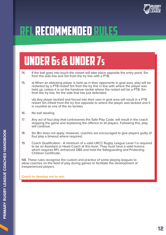

### under 6s & under 7s

- 14. If the ball goes into touch the restart will take place opposite the entry point, 5m from the side line and 5m from the try line with a PTB.
- 15. a) When an attacking player is held up in their opponents in goal area, play will be restarted by a PTB restart 5m from the try line in line with where the player was held up, unless it is on the handover tackle where the restart will be a PTB, 5m from the try line, for the side that has just defended.

vb) Any player tackled and forced into their own in goal area will result in a PTB restart 5m infield from the try line opposite to where the player was tackled and it is counted as one of the six tackles.

- 16. No ball stealing.
- 17. Any act of foul play that contravenes the Safe Play Code, will result in the coach stopping the game and explaining the offence to all players. Following this, play will continue.
- 18. Sin Bin does not apply. However, coaches are encouraged to give players guilty of foul play a timeout where required.
- 19. Coach Qualification A minimum of a valid UKCC Rugby League Level 1 is required to be an Assistant or Head Coach at this level. They must have a valid licence which requires RFL enhanced DBS and hold the Safeguarding and Protecting Children Certificate.

NB. These rules recognise the custom and practice of some playing leagues to allow coaches on the field of play during games to facilitate the development of inexperienced players.

**Coach to develop not to win.**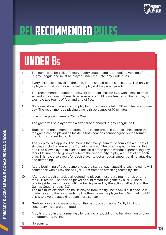

### under 8s

- 1. The game is to be called Primary Rugby League and is a modified version of Rugby League and must be played under the Safe Play Code rules.
- 2. Every child must play all of the time. There should be no substitutes. (The only time a player should not be on the field of play is if they are injured).
- 3. The recommended number of players per team shall be five, with a maximum of six and a minimum of three. To ensure every child plays teams can be flexible, for example two teams of four and one of five.
- 4. No player should be allowed to play for more than a total of 30 minutes in any one day. The recommended playing time is three games of 10 minutes.
- 5. Size of the playing area is 25m x 15m.
- 6. The game will be played with a size three standard Rugby League ball.
- 7. Touch is the recommended format for this age group. If both coaches agree then the game can be played as tackle. If both coaches cannot agree on the format then it must revert to touch.
- 8. The six play rule applies. This means that every team must complete a full set of six plays including errors or a Try being scored. The coaching ethos behind this rule is to allow players to execute the skills of the game without experiencing any fear of failure and to give every team the opportunity to play a full set of six each time. This rule also allows for each player to get an equal amount of time attacking and defending.
- 9. At the beginning of each game and at the start of each attacking set, the game will commence with a Play the ball (PTB) 5m from the attacking teams try line.
- 10. After each touch or tackle all defending players must retire four metres prior to the PTB restart. The tackled player should restart the game by a PTB. The d fending side cannot move until the ball is passed by the acting halfback and the Games Coach shouts 'GO'. The minimum distance the ball is played from the try line is 5m. (i.e. If a tackle is made closer to the opponents try line then move the player back 5m mark to PTB, this is to give the attacking team more space).
- 11. Grubber kicks only, are allowed on the last touch or tackle. No fly kicking or secondary kicks are permitted.
- 12. A try is scored in the normal way by placing or touching the ball down on or over the opponents try line.
- 13. No scrums.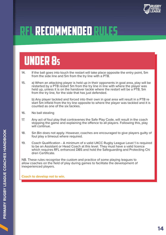

### under 8s

- 14. If the ball goes into touch the restart will take place opposite the entry point, 5m from the side line and 5m from the try line with a PTB.
- 15. a) When an attacking player is held up in their opponents in goal area, play will be restarted by a PTB restart 5m from the try line in line with where the player was held up, unless it is on the handover tackle where the restart will be a PTB, 5m from the try line, for the side that has just defended.

b) Any player tackled and forced into their own in goal area will result in a PTB re start 5m infield from the try line opposite to where the player was tackled and it is counted as one of the six tackles.

- 16. No ball stealing
- 17. Any act of foul play that contravenes the Safe Play Code, will result in the coach stopping the game and explaining the offence to all players. Following this, play will continue.
- 18. Sin Bin does not apply. However, coaches are encouraged to give players guilty of foul play a timeout where required.
- 19. Coach Qualification A minimum of a valid UKCC Rugby League Level 1 is required to be an Assistant or Head Coach at this level. They must have a valid licence which requires RFL enhanced DBS and hold the Safeguarding and Protecting Chi dren Certificate.

NB. These rules recognise the custom and practice of some playing leagues to allow coaches on the field of play during games to facilitate the development of inexperienced players.

**Coach to develop not to win.**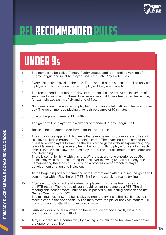

### under 9s

- 1. The game is to be called Primary Rugby League and is a modified version of Rugby League and must be played under the Safe Play Code rules.
- 2. Every child must play all of the time. There should be no substitutes. (The only time a player should not be on the field of play is if they are injured).
- 3. The recommended number of players per team shall be six, with a maximum of seven and a minimum of three. To ensure every child plays teams can be flexible, for example two teams of six and one of five.
- 4. No player should be allowed to play for more than a total of 40 minutes in any one day. The recommended playing time is three games of 10 minutes.
- 5. Size of the playing area is 30m x 18m.
- 6. The game will be played with a size three standard Rugby League ball.
- 7. Tackle is the recommended format for this age group.
- 8. The six play rule applies. This means that every team must complete a full set of six plays including errors or a Try being scored. The coaching ethos behind this rule is to allow players to execute the skills of the game without experiencing any fear of failure and to give every team the opportunity to play a full set of six each time. This rule also allows for each player to get an equal amount of time attacking and defending.

There is some flexibility with this rule. Where players have experience at U9s, teams may wish to permit turning the ball over following two errors in any one set. Remembering the ethos of PRL around a progressive approach to player development and fun and inclusion.

- 9. At the beginning of each game and at the start of each attacking set, the game will commence with a Play the ball (PTB) 5m from the attacking teams try line.
- 10. After each touch or tackle all defending players must retire four metres prior to the PTB restart. The tackled player should restart the game by a PTB. The d fending side cannot move until the ball is passed by the acting halfback and the Games Coach shouts 'GO'. The minimum distance the ball is played from the try line is 5m. (i.e. If a tackle is made closer to the opponents try line then move the player back 5m mark to PTB, this is to give the attacking team more space).
- 11. Grubber kicks only, are allowed on the last touch or tackle. No fly kicking or secondary kicks are permitted.
- 12. A try is scored in the normal way by placing or touching the ball down on or over the opponents try line.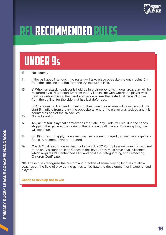

### under 9s

- 13. No scrums.
- 14. If the ball goes into touch the restart will take place opposite the entry point, 5m from the side line and 5m from the try line with a PTB.
- 15. a) When an attacking player is held up in their opponents in goal area, play will be restarted by a PTB restart 5m from the try line in line with where the player was held up, unless it is on the handover tackle where the restart will be a PTB, 5m from the try line, for the side that has just defended.

b) Any player tackled and forced into their own in goal area will result in a PTB re start 5m infield from the try line opposite to where the player was tackled and it is counted as one of the six tackles.

- 16. No ball stealing.
- 17. Any act of foul play that contravenes the Safe Play Code, will result in the coach stopping the game and explaining the offence to all players. Following this, play will continue.
- 18. Sin Bin does not apply. However, coaches are encouraged to give players guilty of foul play a timeout where required.
- 19. Coach Qualification A minimum of a valid UKCC Rugby League Level 1 is required to be an Assistant or Head Coach at this level. They must have a valid licence which requires RFL enhanced DBS and hold the Safeguarding and Protecting Children Certificate.

NB. These rules recognise the custom and practice of some playing leagues to allow coaches on the field of play during games to facilitate the development of inexperienced players.

#### **Coach to develop not to win**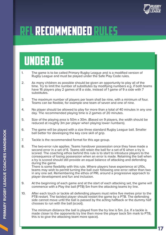

### under 10s

- 1. The game is to be called Primary Rugby League and is a modified version of Rugby League and must be played under the Safe Play Code rules.
- 2. As many children as possible should be given an opportunity to play all of the time. Try to limit the number of substitutes by modifying numbers e.g. if both teams have 16 players play 2 games of 8 a side, instead of 1 game of 9 a side with 7 substitutes.
- 3. The maximum number of players per team shall be nine, with a minimum of four. Teams can be flexible, for example one team of seven and one of nine.
- 4. No player should be allowed to play for more than a total of 40 minutes in any one day. The recommended playing time is 2 games of 20 minutes.
- 5. Size of the playing area is 50m x 30m. (Based on 9 players, the width should be reduced at roughly 3m per player when playing lower numbers).
- 6. The game will be played with a size three standard Rugby League ball. Smaller ball better for developing the key core skill of grip.
- 7. Tackle is the recommended format for this age group.
- 8. The two-error rule applies. Teams handover possession once they have made a second error in a set of 6. Teams still retain the ball for a set of 6 when a try is scored. The coaching ethos behind this rule is to start to introduce players to the consequence of losing possession when an error is made. Retaining the ball when a try is scored should still provide an equal balance of attacking and defending during the game. There is some flexibility with this rule. Where players have experience at U10s, teams may wish to permit turning the ball over following one error rather than two in any one set. Remembering the ethos of PRL around a progressive approach to player development and fun and inclusion.
- 9. At the beginning of each game and at the start of each attacking set, the game will commence with a Play the ball (PTB) 5m from the attacking teams try line.
- 10. After each touch or tackle all defending players must retire five metres prior to the PTB restart. The tackled player should restart the game by a PTB. The defending side cannot move until the ball is passed by the acting halfback or the dummy half chooses to run with the ball (scoot).

The minimum distance the ball is played from the try line is 5m. (i.e. If a tackle is made closer to the opponents try line then move the player back 5m mark to PTB, this is to give the attacking team more space).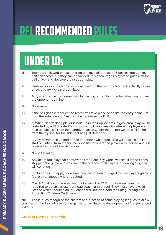

### under 10s

- 11. Teams are allowed one scoot from dummy half per set of 6 tackles, the dummy half can't score but they can be tackled, this encourages players to push with the ball player and develop their support play.
- 12. Grubber kicks and chip kicks are allowed on the last touch or tackle. No fly kicking or secondary kicks are permitted.
- 13. A try is scored in the normal way by placing or touching the ball down on or over the opponents try line.
- 14. No scrums.
- 15. If the ball goes into touch the restart will take place opposite the entry point, 5m from the side line and 5m from the try line with a PTB.
- 16. a) When an attacking player is held up in their opponents in goal area, play will be restarted by a PTB restart 5m from the try line in line with where the player was held up, unless it is on the handover tackle where the restart will be a PTB, 5m from the try line, for the side that has just defended.

b) Any player tackled and forced into their own in goal area will result in a PTB re start 5m infield from the try line opposite to where the player was tackled and it is counted as one of the six tackles.

- 17. No ball stealing.
- 18. Any act of foul play that contravenes the Safe Play Code, will result in the coach stopping the game and explaining the offence to all players. Following this, play will continue.
- 19. Sin Bin does not apply. However, coaches are encouraged to give players guilty of foul play a timeout where required.
- 20. Coach Qualification A minimum of a valid UKCC Rugby League Level 1 is required to be an assistant or head coach at this level. They must have a valid licence which requires an RFL enhanced DBS and hold the Safeguarding and Protecting Children Certificate.

NB. These rules recognise the custom and practice of some playing leagues to allow coaches on the field of play during games to facilitate the development of inexperienced players.

**Coach to Develop not to Win.**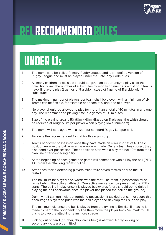

### under 11s

- 1. The game is to be called Primary Rugby League and is a modified version of Rugby League and must be played under the Safe Play Code rules.
- 2. As many children as possible should be given an opportunity to play all of the time. Try to limit the number of substitutes by modifying numbers e.g. if both teams have 18 players play 2 games of 9 a side instead of 1 game of 11 a side with 7 substitutes.
- 3. The maximum number of players per team shall be eleven, with a minimum of six. Teams can be flexible, for example one team of 9 and one of eleven.
- 4. No player should be allowed to play for more than a total of 40 minutes in any one day. The recommended playing time is 2 games of 20 minutes.
- 5. Size of the playing area is 50-60m x 40m. (Based on 11 players, the width should be reduced at roughly 3m per player when playing lower numbers).
- 6. The game will be played with a size four standard Rugby League ball.
- 7. Tackle is the recommended format for this age group.
- 8. Teams handover possession once they have made an error in a set of 6. The o position receive the ball where the error was made. Once a team has scored, they also hand over possession. The opposition start with a play the ball 10m from their own line after conceding a try.
- 9. At the beginning of each game, the game will commence with a Play the ball (PTB) 10m from the attacking teams try line.
- 10. After each tackle defending players must retire seven metres prior to the PTB restart.

The ball must be played backwards with the foot. The team in possession must retire behind the acting half-back. One active marker can be present at the PTB r starts. The ball is in play once it is played backwards (there should be no delay in playing the ball backwards once the player has placed the ball on the ground).

Dummy half can run - without forfeiting possession if tackled but cannot score this encourages players to push with the ball player and develop their support play.

The minimum distance the ball is played from the try line is 5m. (i.e. If a tackle is made closer to the opponents try line then move the player back 5m mark to PTB, this is to give the attacking team more space).

11. Kicking out of hand (grubber, chip, cross field) is allowed. No fly kicking or secondary kicks are permitted.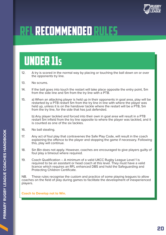

### under 11s

- 12. A try is scored in the normal way by placing or touching the ball down on or over the opponents try line.
- 13. No scrums.
- 14. If the ball goes into touch the restart will take place opposite the entry point, 5m from the side line and 5m from the try line with a PTB.
- 15. a) When an attacking player is held up in their opponents in goal area, play will be restarted by a PTB restart 5m from the try line in line with where the player was held up, unless it is on the handover tackle where the restart will be a PTB, 5m from the try line, for the side that has just defended.

b) Any player tackled and forced into their own in goal area will result in a PTB restart 5m infield from the try line opposite to where the player was tackled, and it is counted as one of the six tackles.

- 16. No ball stealing.
- 17. Any act of foul play that contravenes the Safe Play Code, will result in the coach explaining the offence to the player and stopping the game if necessary. Following this, play will continue.
- 18. Sin Bin does not apply. However, coaches are encouraged to give players guilty of foul play a timeout where required.
- 19. Coach Qualification A minimum of a valid UKCC Rugby League Level 1 is required to be an assistant or head coach at this level. They must have a valid licence which requires an RFL enhanced DBS and hold the Safeguarding and Protecting Children Certificate.

NB. These rules recognise the custom and practice of some playing leagues to allow coaches on the field of play during games to facilitate the development of inexperienced players.

**Coach to Develop not to Win.**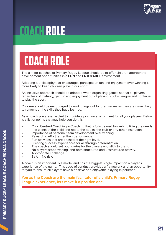

### Coach role

### coach role

The aim for coaches of Primary Rugby League should be to offer children appropriate development opportunities in a **FUN** and **ENJOYABLE** environment.

Adopting a philosophy that encourages participation fun and enjoyment over winning is more likely to keep children playing our sport.

An inclusive approach should be adopted when organising games so that all players regardless of maturity, get fun and enjoyment out of playing Rugby League and continue to play the sport.

Children should be encouraged to work things out for themselves as they are more likely to remember the skills they have learned.

As a coach you are expected to provide a positive environment for all your players. Below is a list of points that may help you do this.

- Child Centred Coaching Coaching that is fully geared towards fulfilling the needs and wants of the child and not to the adults, the club or any other institution.<br>
Importance of personal/team development over winning.<br>
Rewarding effort rather than performance.<br>
Fun activities that are pitched at the rig
- 
- 
- 
- Creating success experiences for all through differentiation.
- The coach should set boundaries for the players and stick to them.
- No players stood waiting, and both structured and unstructured activity.
- Appropriate challenge.
- $\overline{\text{Safe}}$  No risk.

A coach is an important role model and has the biggest single impact on a player's experience of the game. This code of conduct provides a framework and an opportunity for you to ensure all players have a positive and enjoyable playing experience.

**You as the Coach are the main facilitator of a child's Primary Rugby League experience, lets make it a positive one.**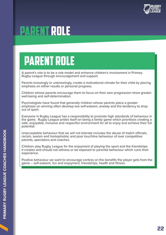

### PARENT role

### parent role

A parent's role is to be a role model and enhance children's involvement in Primary Rugby League through encouragement and support.

Parents knowingly or unknowingly, create a motivational climate for their child by placing emphasis on either results or personal progress.

Children whose parents encourage them to focus on their own progression show greater well-being and self-determination.

Psychologists have found that generally children whose parents place a greater emphasis on winning often develop low self-esteem, anxiety and the tendency to drop out of sport.

Everyone in Rugby League has a responsibility to promote high standards of behaviour in the game. Rugby League prides itself on being a family game which prioritises creating a safe, enjoyable, inclusive and respectful environment for all to enjoy and achieve their full potential.

Unacceptable behaviour that we will not tolerate includes the abuse of match officials; racism, sexism and homophobia; and poor touchline behaviour of over competitive parents, spectators and coaches.

Children play Rugby League for the enjoyment of playing the sport and the friendships it creates and should not witness or be exposed to parental behaviour which ruins their experience.

Positive behaviour we want to encourage centres on the benefits the player gets from the game – self-esteem, fun and enjoyment, friendships, health and fitness.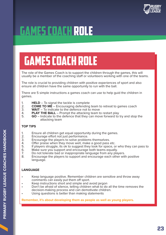

### GAMES COACH role

## GAMES COACH role

The role of the Games Coach is to support the children through the games, this will usually be a member of the coaching staff or volunteers working with one of the teams.

The role is crucial to providing children with positive experiences of sport and also ensure all children have the same opportunity to run with the ball.

There are 5 simple instructions a games coach can use to help guid the children in games.

- 1. **HELD** To signal the tackle is complete<br>2. **COME TO ME** Encouraging defending
- 2. **COME TO ME** Encouraging defending team to retreat to games coach 3. **WAIT** To indicate to the defence not to move
- 3. **WAIT** To indicate to the defence not to move<br>4 **PLAY THE BALL** Prompt the attacking team to
- 4. **PLAY THE BALL** Prompt the attacking team to restart play<br>5. **GO** Indicate to the defence that they can move forward to
- 5. **GO** Indicate to the defence that they can move forward to try and stop the attacking team

#### **TOP TIPS**

- 1. Ensure all children get equal opportunity during the games.<br>2. Encourage effort not just performance
- 2. Encourage effort not just performance.<br>3. Encourage the players to solve problen
- 3. Encourage the players to solve problems themselves.<br>4. Offer praise when they move well, make a good pass
- 4. Offer praise when they move well, make a good pass etc.<br>5. If players struggle, its ok to suggest they look for space, o
- 5. If players struggle, its ok to suggest they look for space, or who they can pass to 6. Make sure you support and encourage both teams equally.
- 6. Make sure you support and encourage both teams equally.<br>
7. Do not tolerate bad or inappropriate language from any pla
- 7. Do not tolerate bad or inappropriate language from any players.<br>8. Encourage the players to support and encourage each other wit
- Encourage the players to support and encourage each other with positive language.

#### **LANGUAGE**

- Keep language positive. Remember children are sensitive and throw away comments can easily put them off sport.
- Keep instructions short and simple and avoid jargon
- Don't be afraid of silence, telling children what to do all the time removes the decision-making process and can demotivate children.
- Using questions is better than making statements

**Remember, it's about developing them as people as well as young players.**